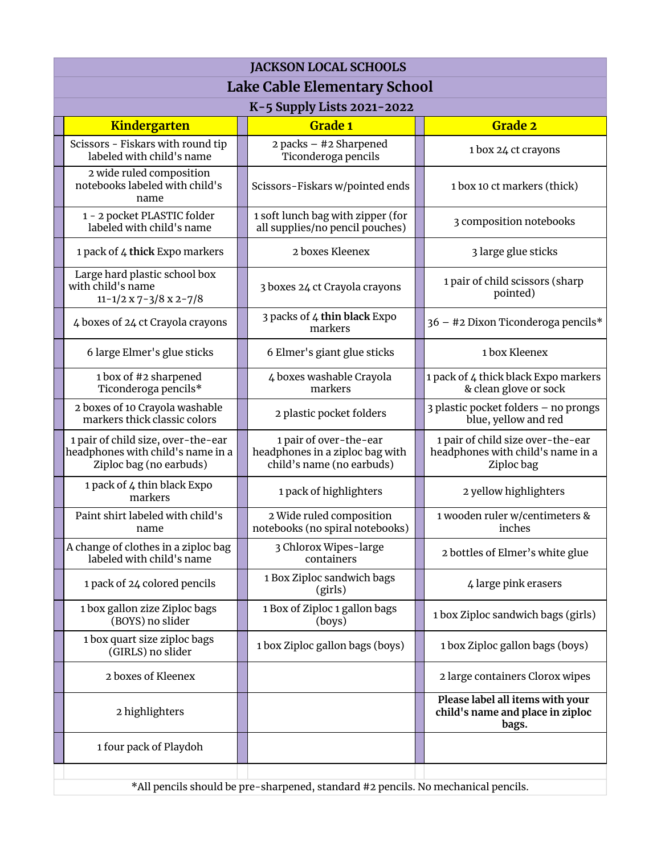| <b>JACKSON LOCAL SCHOOLS</b>                                                                       |                                                                                        |                                                                                      |  |  |  |  |
|----------------------------------------------------------------------------------------------------|----------------------------------------------------------------------------------------|--------------------------------------------------------------------------------------|--|--|--|--|
| Lake Cable Elementary School                                                                       |                                                                                        |                                                                                      |  |  |  |  |
| K-5 Supply Lists 2021-2022                                                                         |                                                                                        |                                                                                      |  |  |  |  |
| <b>Kindergarten</b>                                                                                | <b>Grade 1</b>                                                                         | <b>Grade 2</b>                                                                       |  |  |  |  |
| Scissors - Fiskars with round tip<br>labeled with child's name                                     | 2 packs - #2 Sharpened<br>Ticonderoga pencils                                          | 1 box 24 ct crayons                                                                  |  |  |  |  |
| 2 wide ruled composition<br>notebooks labeled with child's<br>name                                 | Scissors-Fiskars w/pointed ends                                                        | 1 box 10 ct markers (thick)                                                          |  |  |  |  |
| 1 - 2 pocket PLASTIC folder<br>labeled with child's name                                           | 1 soft lunch bag with zipper (for<br>all supplies/no pencil pouches)                   | 3 composition notebooks                                                              |  |  |  |  |
| 1 pack of 4 thick Expo markers                                                                     | 2 boxes Kleenex                                                                        | 3 large glue sticks                                                                  |  |  |  |  |
| Large hard plastic school box<br>with child's name<br>$11 - 1/2 \times 7 - 3/8 \times 2 - 7/8$     | 3 boxes 24 ct Crayola crayons                                                          | 1 pair of child scissors (sharp<br>pointed)                                          |  |  |  |  |
| 4 boxes of 24 ct Crayola crayons                                                                   | 3 packs of 4 thin black Expo<br>markers                                                | 36 - #2 Dixon Ticonderoga pencils*                                                   |  |  |  |  |
| 6 large Elmer's glue sticks                                                                        | 6 Elmer's giant glue sticks                                                            | 1 box Kleenex                                                                        |  |  |  |  |
| 1 box of #2 sharpened<br>Ticonderoga pencils*                                                      | 4 boxes washable Crayola<br>markers                                                    | 1 pack of 4 thick black Expo markers<br>& clean glove or sock                        |  |  |  |  |
| 2 boxes of 10 Crayola washable<br>markers thick classic colors                                     | 2 plastic pocket folders                                                               | 3 plastic pocket folders - no prongs<br>blue, yellow and red                         |  |  |  |  |
| 1 pair of child size, over-the-ear<br>headphones with child's name in a<br>Ziploc bag (no earbuds) | 1 pair of over-the-ear<br>headphones in a ziploc bag with<br>child's name (no earbuds) | 1 pair of child size over-the-ear<br>headphones with child's name in a<br>Ziploc bag |  |  |  |  |
| 1 pack of 4 thin black Expo<br>markers                                                             | 1 pack of highlighters                                                                 | 2 yellow highlighters                                                                |  |  |  |  |
| Paint shirt labeled with child's<br>name                                                           | 2 Wide ruled composition<br>notebooks (no spiral notebooks)                            | 1 wooden ruler w/centimeters &<br>inches                                             |  |  |  |  |
| A change of clothes in a ziploc bag<br>labeled with child's name                                   | 3 Chlorox Wipes-large<br>containers                                                    | 2 bottles of Elmer's white glue                                                      |  |  |  |  |
| 1 pack of 24 colored pencils                                                                       | 1 Box Ziploc sandwich bags<br>(girls)                                                  | 4 large pink erasers                                                                 |  |  |  |  |
| 1 box gallon zize Ziploc bags<br>(BOYS) no slider                                                  | 1 Box of Ziploc 1 gallon bags<br>(boys)                                                | 1 box Ziploc sandwich bags (girls)                                                   |  |  |  |  |
| 1 box quart size ziploc bags<br>(GIRLS) no slider                                                  | 1 box Ziploc gallon bags (boys)                                                        | 1 box Ziploc gallon bags (boys)                                                      |  |  |  |  |
| 2 boxes of Kleenex                                                                                 |                                                                                        | 2 large containers Clorox wipes                                                      |  |  |  |  |
| 2 highlighters                                                                                     |                                                                                        | Please label all items with your<br>child's name and place in ziploc<br>bags.        |  |  |  |  |
| 1 four pack of Playdoh                                                                             |                                                                                        |                                                                                      |  |  |  |  |
| *All pencils should be pre-sharpened, standard #2 pencils. No mechanical pencils.                  |                                                                                        |                                                                                      |  |  |  |  |